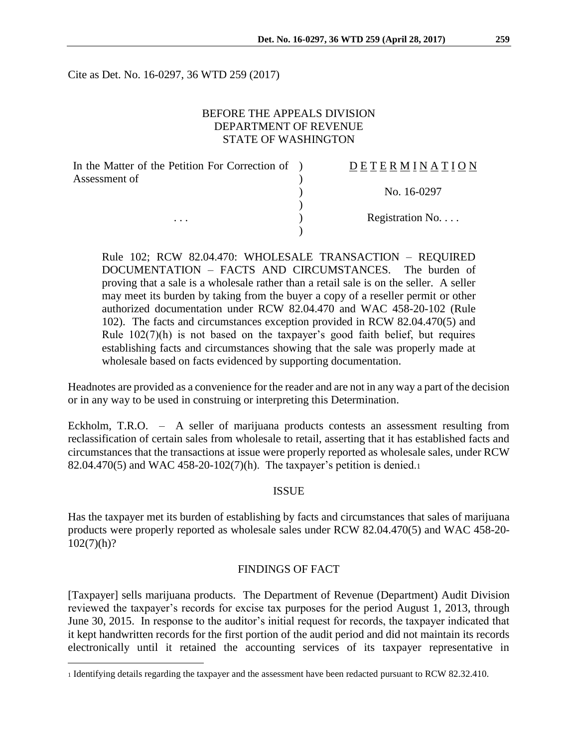Cite as Det. No. 16-0297, 36 WTD 259 (2017)

# BEFORE THE APPEALS DIVISION DEPARTMENT OF REVENUE STATE OF WASHINGTON

| In the Matter of the Petition For Correction of | DETERMINATION   |
|-------------------------------------------------|-----------------|
| Assessment of                                   |                 |
|                                                 | No. 16-0297     |
|                                                 |                 |
| $\cdots$                                        | Registration No |
|                                                 |                 |

Rule 102; RCW 82.04.470: WHOLESALE TRANSACTION – REQUIRED DOCUMENTATION – FACTS AND CIRCUMSTANCES. The burden of proving that a sale is a wholesale rather than a retail sale is on the seller. A seller may meet its burden by taking from the buyer a copy of a reseller permit or other authorized documentation under RCW 82.04.470 and WAC 458-20-102 (Rule 102). The facts and circumstances exception provided in RCW 82.04.470(5) and Rule 102(7)(h) is not based on the taxpayer's good faith belief, but requires establishing facts and circumstances showing that the sale was properly made at wholesale based on facts evidenced by supporting documentation.

Headnotes are provided as a convenience for the reader and are not in any way a part of the decision or in any way to be used in construing or interpreting this Determination.

Eckholm, T.R.O. – A seller of marijuana products contests an assessment resulting from reclassification of certain sales from wholesale to retail, asserting that it has established facts and circumstances that the transactions at issue were properly reported as wholesale sales, under RCW 82.04.470(5) and WAC 458-20-102(7)(h). The taxpayer's petition is denied.<sup>1</sup>

#### **ISSUE**

Has the taxpayer met its burden of establishing by facts and circumstances that sales of marijuana products were properly reported as wholesale sales under RCW 82.04.470(5) and WAC 458-20-  $102(7)(h)?$ 

#### FINDINGS OF FACT

[Taxpayer] sells marijuana products. The Department of Revenue (Department) Audit Division reviewed the taxpayer's records for excise tax purposes for the period August 1, 2013, through June 30, 2015. In response to the auditor's initial request for records, the taxpayer indicated that it kept handwritten records for the first portion of the audit period and did not maintain its records electronically until it retained the accounting services of its taxpayer representative in

<sup>1</sup> Identifying details regarding the taxpayer and the assessment have been redacted pursuant to RCW 82.32.410.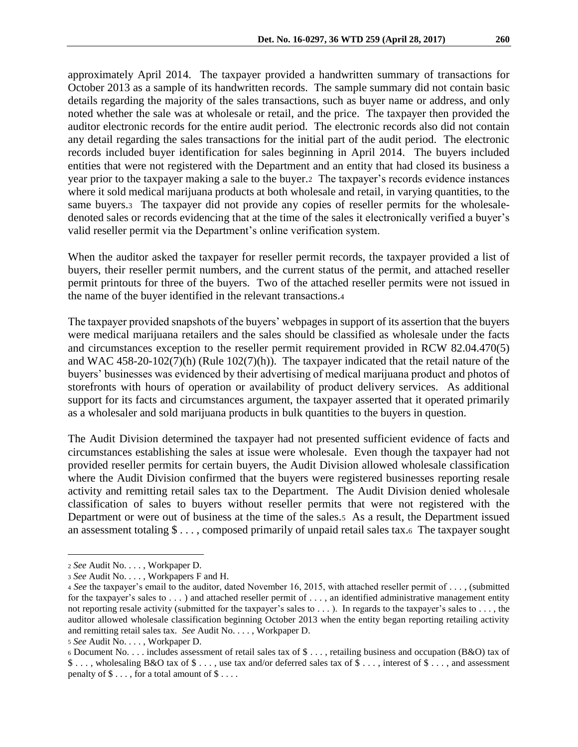approximately April 2014. The taxpayer provided a handwritten summary of transactions for October 2013 as a sample of its handwritten records. The sample summary did not contain basic details regarding the majority of the sales transactions, such as buyer name or address, and only noted whether the sale was at wholesale or retail, and the price. The taxpayer then provided the auditor electronic records for the entire audit period. The electronic records also did not contain any detail regarding the sales transactions for the initial part of the audit period. The electronic records included buyer identification for sales beginning in April 2014. The buyers included entities that were not registered with the Department and an entity that had closed its business a year prior to the taxpayer making a sale to the buyer.2 The taxpayer's records evidence instances where it sold medical marijuana products at both wholesale and retail, in varying quantities, to the same buyers.3 The taxpayer did not provide any copies of reseller permits for the wholesaledenoted sales or records evidencing that at the time of the sales it electronically verified a buyer's valid reseller permit via the Department's online verification system.

When the auditor asked the taxpayer for reseller permit records, the taxpayer provided a list of buyers, their reseller permit numbers, and the current status of the permit, and attached reseller permit printouts for three of the buyers. Two of the attached reseller permits were not issued in the name of the buyer identified in the relevant transactions.<sup>4</sup>

The taxpayer provided snapshots of the buyers' webpages in support of its assertion that the buyers were medical marijuana retailers and the sales should be classified as wholesale under the facts and circumstances exception to the reseller permit requirement provided in RCW 82.04.470(5) and WAC 458-20-102(7)(h) (Rule 102(7)(h)). The taxpayer indicated that the retail nature of the buyers' businesses was evidenced by their advertising of medical marijuana product and photos of storefronts with hours of operation or availability of product delivery services. As additional support for its facts and circumstances argument, the taxpayer asserted that it operated primarily as a wholesaler and sold marijuana products in bulk quantities to the buyers in question.

The Audit Division determined the taxpayer had not presented sufficient evidence of facts and circumstances establishing the sales at issue were wholesale. Even though the taxpayer had not provided reseller permits for certain buyers, the Audit Division allowed wholesale classification where the Audit Division confirmed that the buyers were registered businesses reporting resale activity and remitting retail sales tax to the Department. The Audit Division denied wholesale classification of sales to buyers without reseller permits that were not registered with the Department or were out of business at the time of the sales.<sup>5</sup> As a result, the Department issued an assessment totaling  $\$\ldots$ , composed primarily of unpaid retail sales tax.6 The taxpayer sought

<sup>2</sup> *See* Audit No. . . . , Workpaper D.

<sup>3</sup> *See* Audit No. . . . , Workpapers F and H.

<sup>4</sup> *See* the taxpayer's email to the auditor, dated November 16, 2015, with attached reseller permit of . . . , (submitted for the taxpayer's sales to  $\dots$ ) and attached reseller permit of  $\dots$ , an identified administrative management entity not reporting resale activity (submitted for the taxpayer's sales to . . . ). In regards to the taxpayer's sales to . . . , the auditor allowed wholesale classification beginning October 2013 when the entity began reporting retailing activity and remitting retail sales tax. *See* Audit No. . . . , Workpaper D.

<sup>5</sup> *See* Audit No. . . . , Workpaper D.

<sup>6</sup> Document No. . . . includes assessment of retail sales tax of \$ . . . , retailing business and occupation (B&O) tax of \$ . . . , wholesaling B&O tax of \$ . . . , use tax and/or deferred sales tax of \$ . . . , interest of \$ . . . , and assessment penalty of  $\$\dots$ , for a total amount of  $\$\dots$ .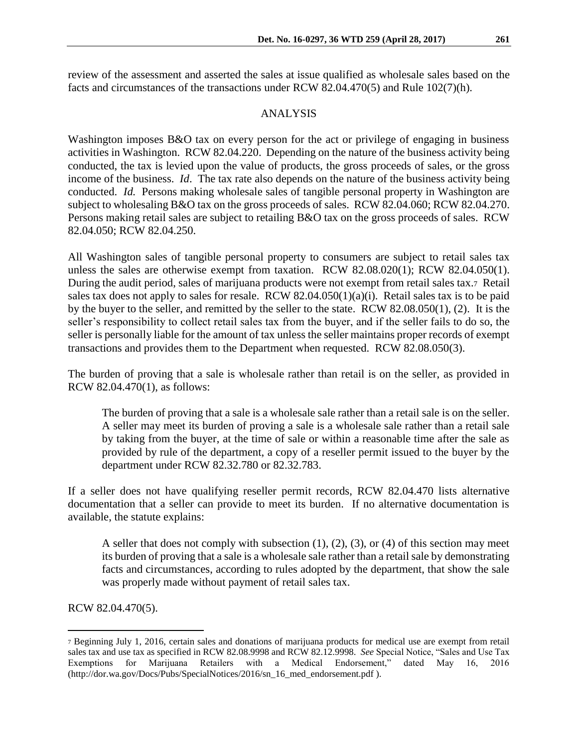### ANALYSIS

Washington imposes B&O tax on every person for the act or privilege of engaging in business activities in Washington. RCW 82.04.220. Depending on the nature of the business activity being conducted, the tax is levied upon the value of products, the gross proceeds of sales, or the gross income of the business. *Id*. The tax rate also depends on the nature of the business activity being conducted. *Id.* Persons making wholesale sales of tangible personal property in Washington are subject to wholesaling B&O tax on the gross proceeds of sales. RCW 82.04.060; RCW 82.04.270. Persons making retail sales are subject to retailing B&O tax on the gross proceeds of sales. RCW 82.04.050; RCW 82.04.250.

All Washington sales of tangible personal property to consumers are subject to retail sales tax unless the sales are otherwise exempt from taxation. RCW 82.08.020(1); RCW 82.04.050(1). During the audit period, sales of marijuana products were not exempt from retail sales tax.7 Retail sales tax does not apply to sales for resale. RCW 82.04.050(1)(a)(i). Retail sales tax is to be paid by the buyer to the seller, and remitted by the seller to the state. RCW 82.08.050(1), (2). It is the seller's responsibility to collect retail sales tax from the buyer, and if the seller fails to do so, the seller is personally liable for the amount of tax unless the seller maintains proper records of exempt transactions and provides them to the Department when requested. RCW 82.08.050(3).

The burden of proving that a sale is wholesale rather than retail is on the seller, as provided in RCW 82.04.470(1), as follows:

The burden of proving that a sale is a wholesale sale rather than a retail sale is on the seller. A seller may meet its burden of proving a sale is a wholesale sale rather than a retail sale by taking from the buyer, at the time of sale or within a reasonable time after the sale as provided by rule of the department, a copy of a reseller permit issued to the buyer by the department under RCW 82.32.780 or 82.32.783.

If a seller does not have qualifying reseller permit records, RCW 82.04.470 lists alternative documentation that a seller can provide to meet its burden. If no alternative documentation is available, the statute explains:

A seller that does not comply with subsection  $(1)$ ,  $(2)$ ,  $(3)$ , or  $(4)$  of this section may meet its burden of proving that a sale is a wholesale sale rather than a retail sale by demonstrating facts and circumstances, according to rules adopted by the department, that show the sale was properly made without payment of retail sales tax.

RCW 82.04.470(5).

<sup>7</sup> Beginning July 1, 2016, certain sales and donations of marijuana products for medical use are exempt from retail sales tax and use tax as specified in RCW 82.08.9998 and RCW 82.12.9998. *See* Special Notice, "Sales and Use Tax Exemptions for Marijuana Retailers with a Medical Endorsement," dated May 16, 2016 (http://dor.wa.gov/Docs/Pubs/SpecialNotices/2016/sn\_16\_med\_endorsement.pdf ).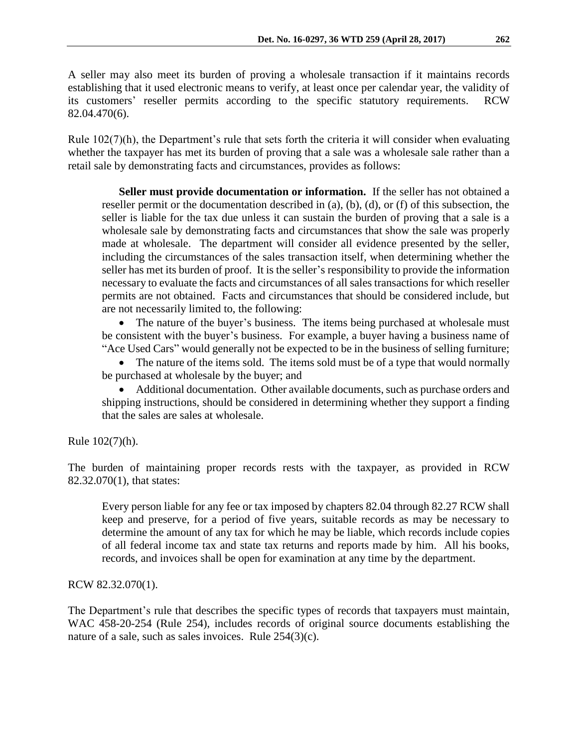A seller may also meet its burden of proving a wholesale transaction if it maintains records establishing that it used electronic means to verify, at least once per calendar year, the validity of its customers' reseller permits according to the specific statutory requirements. RCW 82.04.470(6).

Rule 102(7)(h), the Department's rule that sets forth the criteria it will consider when evaluating whether the taxpayer has met its burden of proving that a sale was a wholesale sale rather than a retail sale by demonstrating facts and circumstances, provides as follows:

**Seller must provide documentation or information.** If the seller has not obtained a reseller permit or the documentation described in (a), (b), (d), or (f) of this subsection, the seller is liable for the tax due unless it can sustain the burden of proving that a sale is a wholesale sale by demonstrating facts and circumstances that show the sale was properly made at wholesale. The department will consider all evidence presented by the seller, including the circumstances of the sales transaction itself, when determining whether the seller has met its burden of proof. It is the seller's responsibility to provide the information necessary to evaluate the facts and circumstances of all sales transactions for which reseller permits are not obtained. Facts and circumstances that should be considered include, but are not necessarily limited to, the following:

• The nature of the buyer's business. The items being purchased at wholesale must be consistent with the buyer's business. For example, a buyer having a business name of "Ace Used Cars" would generally not be expected to be in the business of selling furniture;

• The nature of the items sold. The items sold must be of a type that would normally be purchased at wholesale by the buyer; and

 Additional documentation. Other available documents, such as purchase orders and shipping instructions, should be considered in determining whether they support a finding that the sales are sales at wholesale.

Rule 102(7)(h).

The burden of maintaining proper records rests with the taxpayer, as provided in RCW 82.32.070(1), that states:

Every person liable for any fee or tax imposed by chapters 82.04 through 82.27 RCW shall keep and preserve, for a period of five years, suitable records as may be necessary to determine the amount of any tax for which he may be liable, which records include copies of all federal income tax and state tax returns and reports made by him. All his books, records, and invoices shall be open for examination at any time by the department.

RCW 82.32.070(1).

The Department's rule that describes the specific types of records that taxpayers must maintain, WAC 458-20-254 (Rule 254), includes records of original source documents establishing the nature of a sale, such as sales invoices. Rule 254(3)(c).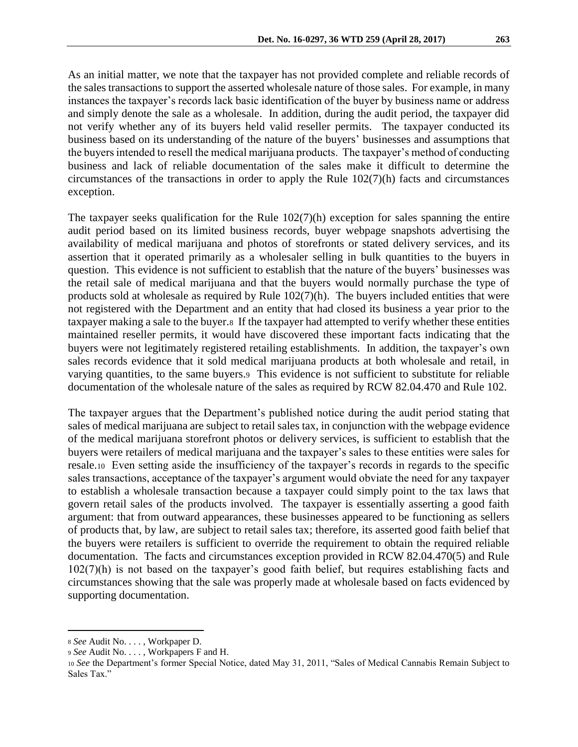As an initial matter, we note that the taxpayer has not provided complete and reliable records of the sales transactions to support the asserted wholesale nature of those sales. For example, in many instances the taxpayer's records lack basic identification of the buyer by business name or address and simply denote the sale as a wholesale. In addition, during the audit period, the taxpayer did not verify whether any of its buyers held valid reseller permits. The taxpayer conducted its business based on its understanding of the nature of the buyers' businesses and assumptions that the buyers intended to resell the medical marijuana products. The taxpayer's method of conducting business and lack of reliable documentation of the sales make it difficult to determine the circumstances of the transactions in order to apply the Rule  $102(7)(h)$  facts and circumstances exception.

The taxpayer seeks qualification for the Rule 102(7)(h) exception for sales spanning the entire audit period based on its limited business records, buyer webpage snapshots advertising the availability of medical marijuana and photos of storefronts or stated delivery services, and its assertion that it operated primarily as a wholesaler selling in bulk quantities to the buyers in question. This evidence is not sufficient to establish that the nature of the buyers' businesses was the retail sale of medical marijuana and that the buyers would normally purchase the type of products sold at wholesale as required by Rule 102(7)(h). The buyers included entities that were not registered with the Department and an entity that had closed its business a year prior to the taxpayer making a sale to the buyer.8 If the taxpayer had attempted to verify whether these entities maintained reseller permits, it would have discovered these important facts indicating that the buyers were not legitimately registered retailing establishments. In addition, the taxpayer's own sales records evidence that it sold medical marijuana products at both wholesale and retail, in varying quantities, to the same buyers.9 This evidence is not sufficient to substitute for reliable documentation of the wholesale nature of the sales as required by RCW 82.04.470 and Rule 102.

The taxpayer argues that the Department's published notice during the audit period stating that sales of medical marijuana are subject to retail sales tax, in conjunction with the webpage evidence of the medical marijuana storefront photos or delivery services, is sufficient to establish that the buyers were retailers of medical marijuana and the taxpayer's sales to these entities were sales for resale.10 Even setting aside the insufficiency of the taxpayer's records in regards to the specific sales transactions, acceptance of the taxpayer's argument would obviate the need for any taxpayer to establish a wholesale transaction because a taxpayer could simply point to the tax laws that govern retail sales of the products involved. The taxpayer is essentially asserting a good faith argument: that from outward appearances, these businesses appeared to be functioning as sellers of products that, by law, are subject to retail sales tax; therefore, its asserted good faith belief that the buyers were retailers is sufficient to override the requirement to obtain the required reliable documentation. The facts and circumstances exception provided in RCW 82.04.470(5) and Rule 102(7)(h) is not based on the taxpayer's good faith belief, but requires establishing facts and circumstances showing that the sale was properly made at wholesale based on facts evidenced by supporting documentation.

<sup>8</sup> *See* Audit No. . . . , Workpaper D.

<sup>9</sup> *See* Audit No. . . . , Workpapers F and H.

<sup>10</sup> *See* the Department's former Special Notice, dated May 31, 2011, "Sales of Medical Cannabis Remain Subject to Sales Tax."